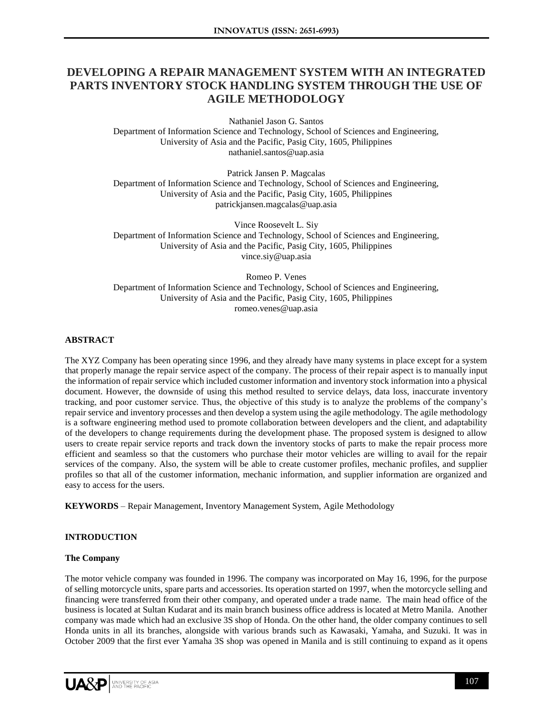# **DEVELOPING A REPAIR MANAGEMENT SYSTEM WITH AN INTEGRATED PARTS INVENTORY STOCK HANDLING SYSTEM THROUGH THE USE OF AGILE METHODOLOGY**

Nathaniel Jason G. Santos Department of Information Science and Technology, School of Sciences and Engineering, University of Asia and the Pacific, Pasig City, 1605, Philippines nathaniel.santos@uap.asia

Patrick Jansen P. Magcalas Department of Information Science and Technology, School of Sciences and Engineering, University of Asia and the Pacific, Pasig City, 1605, Philippines patrickjansen.magcalas@uap.asia

Vince Roosevelt L. Siy Department of Information Science and Technology, School of Sciences and Engineering, University of Asia and the Pacific, Pasig City, 1605, Philippines vince.siy@uap.asia

Romeo P. Venes Department of Information Science and Technology, School of Sciences and Engineering, University of Asia and the Pacific, Pasig City, 1605, Philippines romeo.venes@uap.asia

### **ABSTRACT**

The XYZ Company has been operating since 1996, and they already have many systems in place except for a system that properly manage the repair service aspect of the company. The process of their repair aspect is to manually input the information of repair service which included customer information and inventory stock information into a physical document. However, the downside of using this method resulted to service delays, data loss, inaccurate inventory tracking, and poor customer service. Thus, the objective of this study is to analyze the problems of the company's repair service and inventory processes and then develop a system using the agile methodology. The agile methodology is a software engineering method used to promote collaboration between developers and the client, and adaptability of the developers to change requirements during the development phase. The proposed system is designed to allow users to create repair service reports and track down the inventory stocks of parts to make the repair process more efficient and seamless so that the customers who purchase their motor vehicles are willing to avail for the repair services of the company. Also, the system will be able to create customer profiles, mechanic profiles, and supplier profiles so that all of the customer information, mechanic information, and supplier information are organized and easy to access for the users.

**KEYWORDS** – Repair Management, Inventory Management System, Agile Methodology

### **INTRODUCTION**

### **The Company**

The motor vehicle company was founded in 1996. The company was incorporated on May 16, 1996, for the purpose of selling motorcycle units, spare parts and accessories. Its operation started on 1997, when the motorcycle selling and financing were transferred from their other company, and operated under a trade name. The main head office of the business is located at Sultan Kudarat and its main branch business office address is located at Metro Manila. Another company was made which had an exclusive 3S shop of Honda. On the other hand, the older company continues to sell Honda units in all its branches, alongside with various brands such as Kawasaki, Yamaha, and Suzuki. It was in October 2009 that the first ever Yamaha 3S shop was opened in Manila and is still continuing to expand as it opens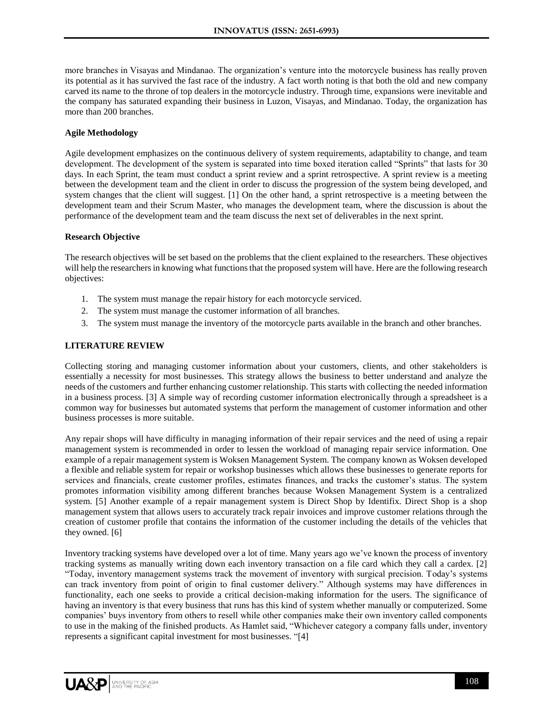more branches in Visayas and Mindanao. The organization's venture into the motorcycle business has really proven its potential as it has survived the fast race of the industry. A fact worth noting is that both the old and new company carved its name to the throne of top dealers in the motorcycle industry. Through time, expansions were inevitable and the company has saturated expanding their business in Luzon, Visayas, and Mindanao. Today, the organization has more than 200 branches.

### **Agile Methodology**

Agile development emphasizes on the continuous delivery of system requirements, adaptability to change, and team development. The development of the system is separated into time boxed iteration called "Sprints" that lasts for 30 days. In each Sprint, the team must conduct a sprint review and a sprint retrospective. A sprint review is a meeting between the development team and the client in order to discuss the progression of the system being developed, and system changes that the client will suggest. [1] On the other hand, a sprint retrospective is a meeting between the development team and their Scrum Master, who manages the development team, where the discussion is about the performance of the development team and the team discuss the next set of deliverables in the next sprint.

#### **Research Objective**

The research objectives will be set based on the problems that the client explained to the researchers. These objectives will help the researchers in knowing what functions that the proposed system will have. Here are the following research objectives:

- 1. The system must manage the repair history for each motorcycle serviced.
- 2. The system must manage the customer information of all branches.
- 3. The system must manage the inventory of the motorcycle parts available in the branch and other branches.

### **LITERATURE REVIEW**

Collecting storing and managing customer information about your customers, clients, and other stakeholders is essentially a necessity for most businesses. This strategy allows the business to better understand and analyze the needs of the customers and further enhancing customer relationship. This starts with collecting the needed information in a business process. [3] A simple way of recording customer information electronically through a spreadsheet is a common way for businesses but automated systems that perform the management of customer information and other business processes is more suitable.

Any repair shops will have difficulty in managing information of their repair services and the need of using a repair management system is recommended in order to lessen the workload of managing repair service information. One example of a repair management system is Woksen Management System. The company known as Woksen developed a flexible and reliable system for repair or workshop businesses which allows these businesses to generate reports for services and financials, create customer profiles, estimates finances, and tracks the customer's status. The system promotes information visibility among different branches because Woksen Management System is a centralized system. [5] Another example of a repair management system is Direct Shop by Identifix. Direct Shop is a shop management system that allows users to accurately track repair invoices and improve customer relations through the creation of customer profile that contains the information of the customer including the details of the vehicles that they owned. [6]

Inventory tracking systems have developed over a lot of time. Many years ago we've known the process of inventory tracking systems as manually writing down each inventory transaction on a file card which they call a cardex. [2] "Today, inventory management systems track the movement of inventory with surgical precision. Today's systems can track inventory from point of origin to final customer delivery." Although systems may have differences in functionality, each one seeks to provide a critical decision-making information for the users. The significance of having an inventory is that every business that runs has this kind of system whether manually or computerized. Some companies' buys inventory from others to resell while other companies make their own inventory called components to use in the making of the finished products. As Hamlet said, "Whichever category a company falls under, inventory represents a significant capital investment for most businesses. "[4]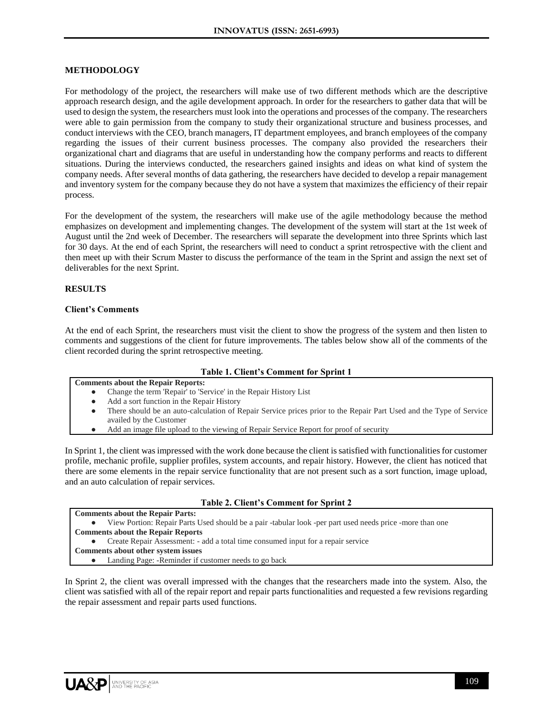### **METHODOLOGY**

For methodology of the project, the researchers will make use of two different methods which are the descriptive approach research design, and the agile development approach. In order for the researchers to gather data that will be used to design the system, the researchers must look into the operations and processes of the company. The researchers were able to gain permission from the company to study their organizational structure and business processes, and conduct interviews with the CEO, branch managers, IT department employees, and branch employees of the company regarding the issues of their current business processes. The company also provided the researchers their organizational chart and diagrams that are useful in understanding how the company performs and reacts to different situations. During the interviews conducted, the researchers gained insights and ideas on what kind of system the company needs. After several months of data gathering, the researchers have decided to develop a repair management and inventory system for the company because they do not have a system that maximizes the efficiency of their repair process.

For the development of the system, the researchers will make use of the agile methodology because the method emphasizes on development and implementing changes. The development of the system will start at the 1st week of August until the 2nd week of December. The researchers will separate the development into three Sprints which last for 30 days. At the end of each Sprint, the researchers will need to conduct a sprint retrospective with the client and then meet up with their Scrum Master to discuss the performance of the team in the Sprint and assign the next set of deliverables for the next Sprint.

### **RESULTS**

#### **Client's Comments**

At the end of each Sprint, the researchers must visit the client to show the progress of the system and then listen to comments and suggestions of the client for future improvements. The tables below show all of the comments of the client recorded during the sprint retrospective meeting.

#### **Table 1. Client's Comment for Sprint 1 Comments about the Repair Reports:**

| Journeurs about the Repair Reports:                              |  |  |  |
|------------------------------------------------------------------|--|--|--|
| Change the term 'Repair' to 'Service' in the Repair History List |  |  |  |

- Add a sort function in the Repair History
- There should be an auto-calculation of Repair Service prices prior to the Repair Part Used and the Type of Service availed by the Customer
- Add an image file upload to the viewing of Repair Service Report for proof of security

In Sprint 1, the client was impressed with the work done because the client is satisfied with functionalities for customer profile, mechanic profile, supplier profiles, system accounts, and repair history. However, the client has noticed that there are some elements in the repair service functionality that are not present such as a sort function, image upload, and an auto calculation of repair services.

### **Table 2. Client's Comment for Sprint 2**

**Comments about the Repair Parts:** View Portion: Repair Parts Used should be a pair -tabular look -per part used needs price -more than one **Comments about the Repair Reports** ● Create Repair Assessment: - add a total time consumed input for a repair service **Comments about other system issues** ● Landing Page: -Reminder if customer needs to go back

In Sprint 2, the client was overall impressed with the changes that the researchers made into the system. Also, the client was satisfied with all of the repair report and repair parts functionalities and requested a few revisions regarding the repair assessment and repair parts used functions.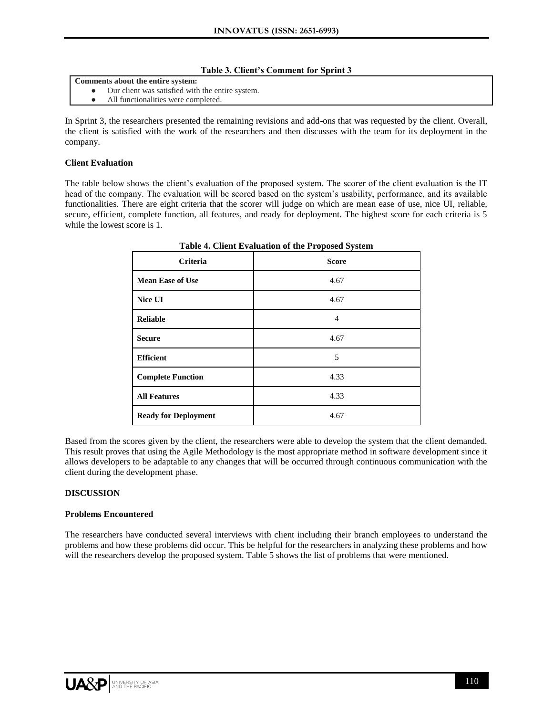#### **Table 3. Client's Comment for Sprint 3**

**Comments about the entire system:**

- Our client was satisfied with the entire system.
- All functionalities were completed.

In Sprint 3, the researchers presented the remaining revisions and add-ons that was requested by the client. Overall, the client is satisfied with the work of the researchers and then discusses with the team for its deployment in the company.

### **Client Evaluation**

The table below shows the client's evaluation of the proposed system. The scorer of the client evaluation is the IT head of the company. The evaluation will be scored based on the system's usability, performance, and its available functionalities. There are eight criteria that the scorer will judge on which are mean ease of use, nice UI, reliable, secure, efficient, complete function, all features, and ready for deployment. The highest score for each criteria is 5 while the lowest score is 1.

| Criteria                    | Table 4. Chem Evaluation of the Froposca System<br><b>Score</b> |  |  |
|-----------------------------|-----------------------------------------------------------------|--|--|
| <b>Mean Ease of Use</b>     | 4.67                                                            |  |  |
| Nice UI                     | 4.67                                                            |  |  |
| <b>Reliable</b>             | $\overline{4}$                                                  |  |  |
| <b>Secure</b>               | 4.67                                                            |  |  |
| <b>Efficient</b>            | 5                                                               |  |  |
| <b>Complete Function</b>    | 4.33                                                            |  |  |
| <b>All Features</b>         | 4.33                                                            |  |  |
| <b>Ready for Deployment</b> | 4.67                                                            |  |  |

**Table 4. Client Evaluation of the Proposed System**

Based from the scores given by the client, the researchers were able to develop the system that the client demanded. This result proves that using the Agile Methodology is the most appropriate method in software development since it allows developers to be adaptable to any changes that will be occurred through continuous communication with the client during the development phase.

### **DISCUSSION**

### **Problems Encountered**

The researchers have conducted several interviews with client including their branch employees to understand the problems and how these problems did occur. This be helpful for the researchers in analyzing these problems and how will the researchers develop the proposed system. Table 5 shows the list of problems that were mentioned.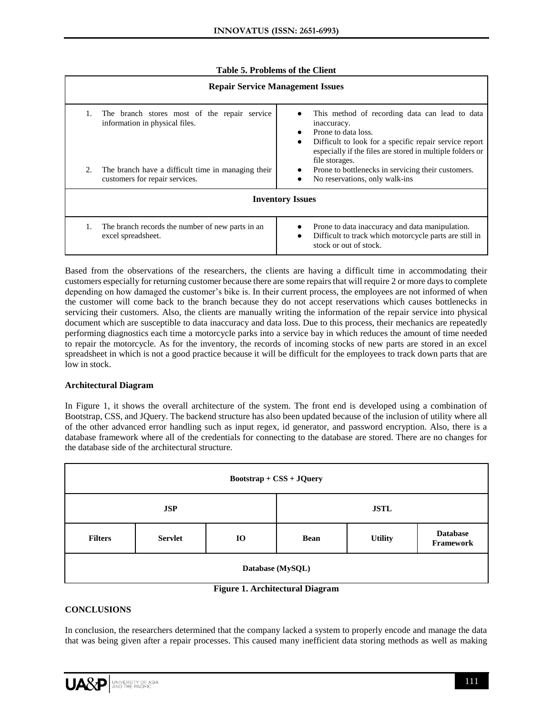### **Table 5. Problems of the Client**

| <b>Repair Service Management Issues</b>                                                    |                                                                                                                                                                                                                                                 |  |  |  |  |  |  |
|--------------------------------------------------------------------------------------------|-------------------------------------------------------------------------------------------------------------------------------------------------------------------------------------------------------------------------------------------------|--|--|--|--|--|--|
| The branch stores most of the repair service<br>information in physical files.             | This method of recording data can lead to data<br>inaccuracy.<br>Prone to data loss.<br>$\bullet$<br>Difficult to look for a specific repair service report<br>٠<br>especially if the files are stored in multiple folders or<br>file storages. |  |  |  |  |  |  |
| The branch have a difficult time in managing their<br>2.<br>customers for repair services. | Prone to bottlenecks in servicing their customers.<br>٠<br>No reservations, only walk-ins                                                                                                                                                       |  |  |  |  |  |  |
| <b>Inventory Issues</b>                                                                    |                                                                                                                                                                                                                                                 |  |  |  |  |  |  |
| The branch records the number of new parts in an<br>excel spreadsheet.                     | Prone to data inaccuracy and data manipulation.<br>Difficult to track which motorcycle parts are still in<br>٠<br>stock or out of stock.                                                                                                        |  |  |  |  |  |  |

Based from the observations of the researchers, the clients are having a difficult time in accommodating their customers especially for returning customer because there are some repairs that will require 2 or more days to complete depending on how damaged the customer's bike is. In their current process, the employees are not informed of when the customer will come back to the branch because they do not accept reservations which causes bottlenecks in servicing their customers. Also, the clients are manually writing the information of the repair service into physical document which are susceptible to data inaccuracy and data loss. Due to this process, their mechanics are repeatedly performing diagnostics each time a motorcycle parks into a service bay in which reduces the amount of time needed to repair the motorcycle. As for the inventory, the records of incoming stocks of new parts are stored in an excel spreadsheet in which is not a good practice because it will be difficult for the employees to track down parts that are low in stock.

### **Architectural Diagram**

In Figure 1, it shows the overall architecture of the system. The front end is developed using a combination of Bootstrap, CSS, and JQuery. The backend structure has also been updated because of the inclusion of utility where all of the other advanced error handling such as input regex, id generator, and password encryption. Also, there is a database framework where all of the credentials for connecting to the database are stored. There are no changes for the database side of the architectural structure.

| $\text{Boostrap} + \text{CSS} + \text{JQuery}$ |                |           |             |                |                              |  |  |  |  |
|------------------------------------------------|----------------|-----------|-------------|----------------|------------------------------|--|--|--|--|
|                                                | <b>JSP</b>     |           | <b>JSTL</b> |                |                              |  |  |  |  |
| <b>Filters</b>                                 | <b>Servlet</b> | <b>IO</b> | <b>Bean</b> | <b>Utility</b> | <b>Database</b><br>Framework |  |  |  |  |
| Database (MySQL)                               |                |           |             |                |                              |  |  |  |  |

### **Figure 1. Architectural Diagram**

### **CONCLUSIONS**

In conclusion, the researchers determined that the company lacked a system to properly encode and manage the data that was being given after a repair processes. This caused many inefficient data storing methods as well as making